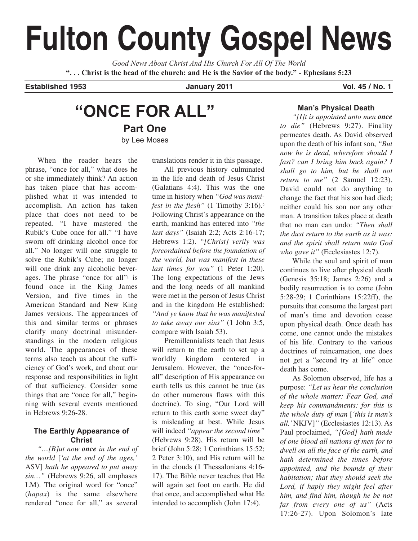# **Fulton County Gospel News**

*Good News About Christ And His Church For All Of The World* **". . . Christ is the head of the church: and He is the Savior of the body." - Ephesians 5:23**

**Established 1953 January 2011 Vol. 45 / No. 1**

# **"ONCE FOR ALL" Part One** by Lee Moses

When the reader hears the phrase, "once for all," what does he or she immediately think? An action has taken place that has accomplished what it was intended to accomplish. An action has taken place that does not need to be repeated. "I have mastered the Rubik's Cube once for all." "I have sworn off drinking alcohol once for all." No longer will one struggle to solve the Rubik's Cube; no longer will one drink any alcoholic beverages. The phrase "once for all"<sup>1</sup> is found once in the King James Version, and five times in the American Standard and New King James versions. The appearances of this and similar terms or phrases clarify many doctrinal misunderstandings in the modern religious world. The appearances of these terms also teach us about the sufficiency of God's work, and about our response and responsibilities in light of that sufficiency. Consider some things that are "once for all," beginning with several events mentioned in Hebrews 9:26-28.

## **The Earthly Appearance of Christ**

*"…[B]ut now once in the end of the world* [*'at the end of the ages,'* ASV] *hath he appeared to put away sin…"* (Hebrews 9:26, all emphases LM). The original word for "once" (*hapax*) is the same elsewhere rendered "once for all," as several translations render it in this passage.

All previous history culminated in the life and death of Jesus Christ (Galatians 4:4). This was the one time in history when *"God was manifest in the flesh"* (1 Timothy 3:16).2 Following Christ's appearance on the earth, mankind has entered into *"the last days"* (Isaiah 2:2; Acts 2:16-17; Hebrews 1:2). *"[Christ] verily was foreordained before the foundation of the world, but was manifest in these last times for you"* (1 Peter 1:20). The long expectations of the Jews and the long needs of all mankind were met in the person of Jesus Christ and in the kingdom He established: *"And ye know that he was manifested to take away our sins"* (1 John 3:5, compare with Isaiah 53).

Premillennialists teach that Jesus will return to the earth to set up a worldly kingdom centered in Jerusalem. However, the "once-forall" description of His appearance on earth tells us this cannot be true (as do other numerous flaws with this doctrine). To sing, "Our Lord will return to this earth some sweet day" is misleading at best. While Jesus will indeed *"appear the second time"* (Hebrews 9:28), His return will be brief (John 5:28; 1 Corinthians 15:52; 2 Peter 3:10), and His return will be in the clouds (1 Thessalonians 4:16- 17). The Bible never teaches that He will again set foot on earth. He did that once, and accomplished what He intended to accomplish (John 17:4).

## **Man's Physical Death**

*"[I]t is appointed unto men once to die"* (Hebrews 9:27). Finality permeates death. As David observed upon the death of his infant son, *"But now he is dead, wherefore should I fast? can I bring him back again? I shall go to him, but he shall not return to me"* (2 Samuel 12:23). David could not do anything to change the fact that his son had died; neither could his son nor any other man. A transition takes place at death that no man can undo: *"Then shall the dust return to the earth as it was: and the spirit shall return unto God who gave it"* (Ecclesiastes 12:7).

While the soul and spirit of man continues to live after physical death (Genesis 35:18; James 2:26) and a bodily resurrection is to come (John 5:28-29; 1 Corinthians 15:22ff), the pursuits that consume the largest part of man's time and devotion cease upon physical death. Once death has come, one cannot undo the mistakes of his life. Contrary to the various doctrines of reincarnation, one does not get a "second try at life" once death has come.

As Solomon observed, life has a purpose: *"Let us hear the conclusion of the whole matter: Fear God, and keep his commandments: for this is the whole duty of man* [*'this is man's all,'*NKJV]*"* (Ecclesiastes 12:13). As Paul proclaimed, *"[God] hath made of one blood all nations of men for to dwell on all the face of the earth, and hath determined the times before appointed, and the bounds of their habitation; that they should seek the Lord, if haply they might feel after him, and find him, though he be not far from every one of us"* (Acts 17:26-27). Upon Solomon's late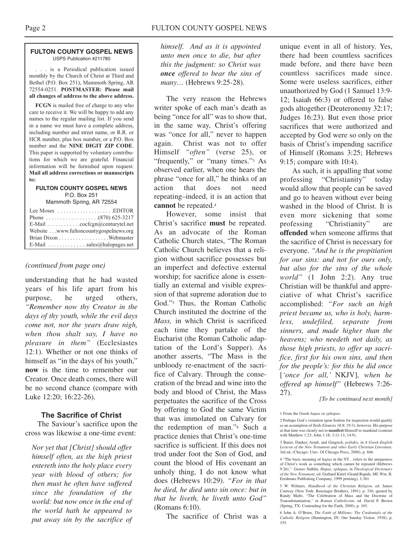#### **FULTON COUNTY GOSPEL NEWS** USPS Publication #211780

. . . is a Periodical publication issued monthly by the Church of Christ at Third and Bethel (P.O. Box 251), Mammoth Spring, AR 72554-0251. **POSTMASTER: Please mail all changes of address to the above address.**

**FCGN** is mailed free of charge to any who care to receive it. We will be happy to add any names to the regular mailing list. If you send in a name we must have a complete address, including number and street name, or R.R. or HCR number, plus box number, or a P.O. Box number and the **NINE DIGIT ZIP CODE**. This paper is supported by voluntary contributions for which we are grateful. Financial information will be furnished upon request. **Mail all address corrections or manuscripts to:**

#### **FULTON COUNTY GOSPEL NEWS** P.O. Box 251

Mammoth Spring, AR 72554

| Lee Moses $\dots \dots \dots \dots \dots$ . EDITOR          |
|-------------------------------------------------------------|
|                                                             |
| E-Mail $\ldots \ldots \ldots \ldots$ cocfcgn@centurytel.net |
| Website www.fultoncountygospelnews.org                      |
|                                                             |
| E-Mail $\ldots$ sales@halopages.net                         |

#### *(continued from page one)*

understanding that he had wasted years of his life apart from his purpose, he urged others, *"Remember now thy Creator in the days of thy youth, while the evil days come not, nor the years draw nigh, when thou shalt say, I have no pleasure in them"* (Ecclesiastes 12:1). Whether or not one thinks of himself as "in the days of his youth," **now** is the time to remember our Creator. Once death comes, there will be no second chance (compare with Luke 12:20; 16:22-26).

#### **The Sacrifice of Christ**

The Saviour's sacrifice upon the cross was likewise a one-time event:

*Nor yet that [Christ] should offer himself often, as the high priest entereth into the holy place every year with blood of others; for then must he often have suffered since the foundation of the world: but now once in the end of the world hath he appeared to put away sin by the sacrifice of* *himself. And as it is appointed unto men once to die, but after this the judgment: so Christ was once offered to bear the sins of many…* (Hebrews 9:25-28).

The very reason the Hebrews writer spoke of each man's death as being "once for all" was to show that, in the same way, Christ's offering was "once for all," never to happen again. Christ was not to offer Himself *"often"* (verse 25), or "frequently," or "many times."3 As observed earlier, when one hears the phrase "once for all," he thinks of an action that does not need repeating–indeed, it is an action that **cannot** be repeated.4

However, some insist that Christ's sacrifice **must** be repeated. As an advocate of the Roman Catholic Church states, "The Roman Catholic Church believes that a religion without sacrifice possesses but an imperfect and defective external worship; for sacrifice alone is essentially an external and visible expression of that supreme adoration due to God."5 Thus, the Roman Catholic Church instituted the doctrine of the *Mass,* in which Christ is sacrificed each time they partake of the Eucharist (the Roman Catholic adaptation of the Lord's Supper). As another asserts, "The Mass is the unbloody re-enactment of the sacrifice of Calvary. Through the consecration of the bread and wine into the body and blood of Christ, the Mass perpetuates the sacrifice of the Cross by offering to God the same Victim that was immolated on Calvary for the redemption of man."6 Such a practice denies that Christ's one-time sacrifice is sufficient. If this does not trod under foot the Son of God, and count the blood of His covenant an unholy thing, I do not know what does (Hebrews 10:29). *"For in that he died, he died unto sin once: but in that he liveth, he liveth unto God"* (Romans 6:10).

The sacrifice of Christ was a

unique event in all of history. Yes, there had been countless sacrifices made before, and there have been countless sacrifices made since. Some were useless sacrifices, either unauthorized by God (1 Samuel 13:9- 12; Isaiah 66:3) or offered to false gods altogether (Deuteronomy 32:17; Judges 16:23). But even those prior sacrifices that were authorized and accepted by God were so only on the basis of Christ's impending sacrifice of Himself (Romans 3:25; Hebrews 9:15; compare with 10:4).

As such, it is appalling that some professing "Christianity" today would allow that people can be saved and go to heaven without ever being washed in the blood of Christ. It is even more sickening that some professing "Christianity" are **offended** when someone affirms that the sacrifice of Christ is necessary for everyone. *"And he is the propitiation for our sins: and not for ours only, but also for the sins of the whole world"* (1 John 2:2). Any true Christian will be thankful and appreciative of what Christ's sacrifice accomplished: *"For such an high priest became us, who is holy, harmless, undefiled, separate from sinners, and made higher than the heavens; who needeth not daily, as those high priests, to offer up sacrifice, first for his own sins, and then for the people's: for this he did once* [*'once for all,'* NKJV]*, when he offered up himself"* (Hebrews 7:26- 27).

*[To be continued next month]*

1 From the Greek *hapax* or *ephapax*.

3 Bauer, Danker, Arndt, and Gingrich, *pollakis,* in *A Greek-English Lexicon of the New Testament and other Early Christian Literature*, 3rd ed. (Chicago: Univ. Of Chicago Press, 2000), p. 846.

4 "The basic meaning of *hapax* in the NT…refers to the uniqueness of Christ's work as something which cannot be repeated (Hebrews 9:26)." Gustav Stählin, *Hapax, ephapax,* in *Theological Dictionary of the New Testament*, ed. Gerhard Kittel (Grand Rapids, MI: Wm. B. Eerdmans Publishing Company, 1999 printing), 1:381.

5 W. Wilmers, *Handbook of the Christian Religion,* ed. James Conway (New York: Benzinger Brothers, 1891), p. 336; quoted by Randy Mabe, "The Celebration of Mass and the Doctrine of Transubstantiation," in *Roman Catholicism,* ed. David P. Brown (Spring, TX: Contending for the Faith, 2000), p. 345.

6 John A. O'Brien, *The Faith of Millions: The Credentials of the Catholic Religion* (Huntington, IN: Our Sunday Visitor, 1938), p. 355.

<sup>2</sup> Perhaps God's visitation upon Sodom for inspection would qualify as an assumption of flesh (Genesis 18:8; 19:3); however, His purpose at that time was clearly not to **manifest** Himself to mankind (contrast with Matthew 1:23; John 1:18; 3:11-13; 14:9).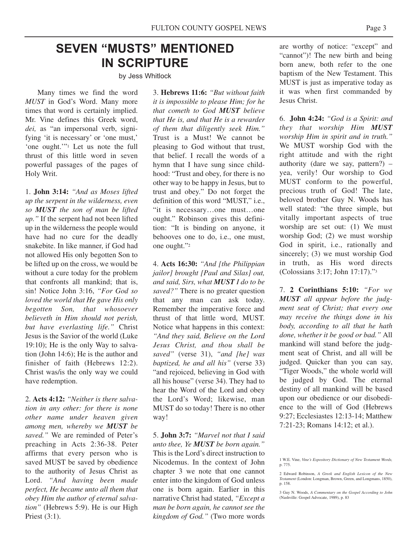# **SEVEN "MUSTS" MENTIONED IN SCRIPTURE**

by Jess Whitlock

Many times we find the word *MUST* in God's Word. Many more times that word is certainly implied. Mr. Vine defines this Greek word, *dei,* as "an impersonal verb, signifying 'it is necessary' or 'one must,' 'one ought.'"1 Let us note the full thrust of this little word in seven powerful passages of the pages of Holy Writ.

1. **John 3:14:** *"And as Moses lifted up the serpent in the wilderness, even so MUST the son of man be lifted up."* If the serpent had not been lifted up in the wilderness the people would have had no cure for the deadly snakebite. In like manner, if God had not allowed His only begotten Son to be lifted up on the cross, we would be without a cure today for the problem that confronts all mankind; that is, sin! Notice John 3:16, *"For God so loved the world that He gave His only begotten Son, that whosoever believeth in Him should not perish, but have everlasting life."* Christ Jesus is the Savior of the world (Luke 19:10); He is the only Way to salvation (John 14:6); He is the author and finisher of faith (Hebrews 12:2). Christ was/is the only way we could have redemption.

2. **Acts 4:12:** *"Neither is there salvation in any other: for there is none other name under heaven given among men, whereby we MUST be saved."* We are reminded of Peter's preaching in Acts 2:36-38. Peter affirms that every person who is saved MUST be saved by obedience to the authority of Jesus Christ as Lord. *"And having been made perfect, He became unto all them that obey Him the author of eternal salvation"* (Hebrews 5:9). He is our High Priest (3:1).

3. **Hebrews 11:6:** *"But without faith it is impossible to please Him; for he that cometh to God MUST believe that He is, and that He is a rewarder of them that diligently seek Him."* Trust is a Must! We cannot be pleasing to God without that trust, that belief. I recall the words of a hymn that I have sung since childhood: "Trust and obey, for there is no other way to be happy in Jesus, but to trust and obey." Do not forget the definition of this word "MUST," i.e., "it is necessary…one must…one ought." Robinson gives this definition: "It is binding on anyone, it behooves one to do, i.e., one must, one ought."2

4. **Acts 16:30:** *"And [the Philippian jailor] brought [Paul and Silas] out, and said, Sirs, what MUST I do to be saved?"* There is no greater question that any man can ask today. Remember the imperative force and thrust of that little word, MUST. Notice what happens in this context: *"And they said, Believe on the Lord Jesus Christ, and thou shall be saved"* (verse 31), *"and [he] was baptized, he and all his"* (verse 33) "and rejoiced, believing in God with all his house" (verse 34). They had to hear the Word of the Lord and obey the Lord's Word; likewise, man MUST do so today! There is no other way!

5. **John 3:7:** *"Marvel not that I said unto thee, Ye MUST be born again."* This is the Lord's direct instruction to Nicodemus. In the context of John chapter 3 we note that one cannot enter into the kingdom of God unless one is born again. Earlier in this narrative Christ had stated, *"Except a man be born again, he cannot see the kingdom of God."* (Two more words

are worthy of notice: "except" and "cannot")! The new birth and being born anew, both refer to the one baptism of the New Testament. This MUST is just as imperative today as it was when first commanded by Jesus Christ.

6. **John 4:24:** *"God is a Spirit: and they that worship Him MUST worship Him in spirit and in truth."* We MUST worship God with the right attitude and with the right authority (dare we say, pattern?)  $$ yea, verily! Our worship to God MUST conform to the powerful, precious truth of God! The late, beloved brother Guy N. Woods has well stated: "the three simple, but vitally important aspects of true worship are set out: (1) We must worship God; (2) we must worship God in spirit, i.e., rationally and sincerely; (3) we must worship God in truth, as His word directs (Colossians 3:17; John 17:17)."3

7. **2 Corinthians 5:10:** *"For we MUST all appear before the judgment seat of Christ; that every one may receive the things done in his body, according to all that he hath done, whether it be good or bad."* All mankind will stand before the judgment seat of Christ, and all will be judged. Quicker than you can say, "Tiger Woods," the whole world will be judged by God. The eternal destiny of all mankind will be based upon our obedience or our disobedience to the will of God (Hebrews 9:27; Ecclesiastes 12:13-14; Matthew 7:21-23; Romans 14:12; et al.).

<sup>1</sup> W.E. Vine, *Vine's Expository Dictionary of New Testament Words,* p. 775.

<sup>2</sup> Edward Robinson, *A Greek and English Lexicon of the New Testament* (London: Longman, Brown, Green, and Longmans, 1850), p. 158.

<sup>3</sup> Guy N. Woods, *A Commentary on the Gospel According to John* (Nashville: Gospel Advocate, 1989), p. 83